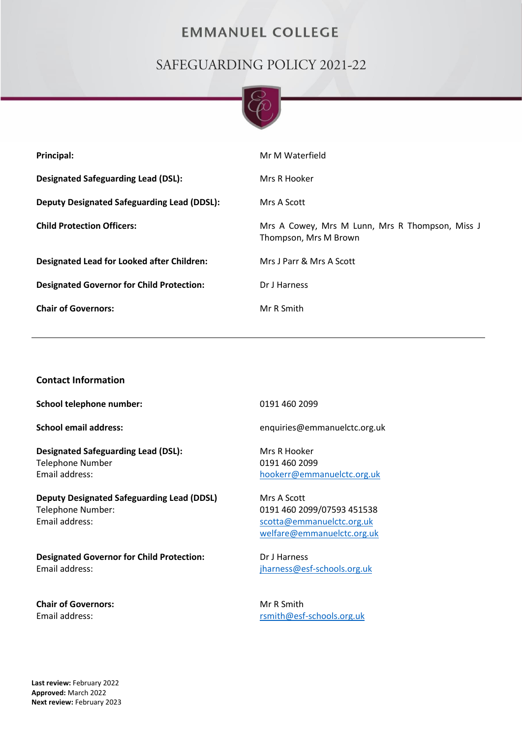## **EMMANUEL COLLEGE**

# SAFEGUARDING POLICY 2021-22



| Principal:                                         | Mr M Waterfield                                                          |
|----------------------------------------------------|--------------------------------------------------------------------------|
| <b>Designated Safeguarding Lead (DSL):</b>         | Mrs R Hooker                                                             |
| <b>Deputy Designated Safeguarding Lead (DDSL):</b> | Mrs A Scott                                                              |
| <b>Child Protection Officers:</b>                  | Mrs A Cowey, Mrs M Lunn, Mrs R Thompson, Miss J<br>Thompson, Mrs M Brown |
| Designated Lead for Looked after Children:         | Mrs J Parr & Mrs A Scott                                                 |
| <b>Designated Governor for Child Protection:</b>   | Dr J Harness                                                             |
| <b>Chair of Governors:</b>                         | Mr R Smith                                                               |

## **Contact Information**

**School telephone number:** 0191 460 2099

**Designated Safeguarding Lead (DSL):** Mrs R Hooker Telephone Number 0191 460 2099 Email address:

**Deputy Designated Safeguarding Lead (DDSL)** Telephone Number: Email address:

**Designated Governor for Child Protection:** Email address:

**Chair of Governors:**  Email address:

**School email address:** enquiries@emmanuelctc.org.uk

[hookerr@emmanuelctc.org.uk](mailto:hookerr@emmanuelctc.org.uk)

Mrs A Scott 0191 460 2099/07593 451538 [scotta@emmanuelctc.org.uk](mailto:scotta@emmanuelctc.org.uk) [welfare@emmanuelctc.org.uk](mailto:welfare@emmanuelctc.org.uk)

Dr J Harness [jharness@esf-schools.org.uk](mailto:jharness@esf-schools.org.uk)

Mr R Smith [rsmith@esf-schools.org.uk](mailto:rsmith@esf-schools.org.uk)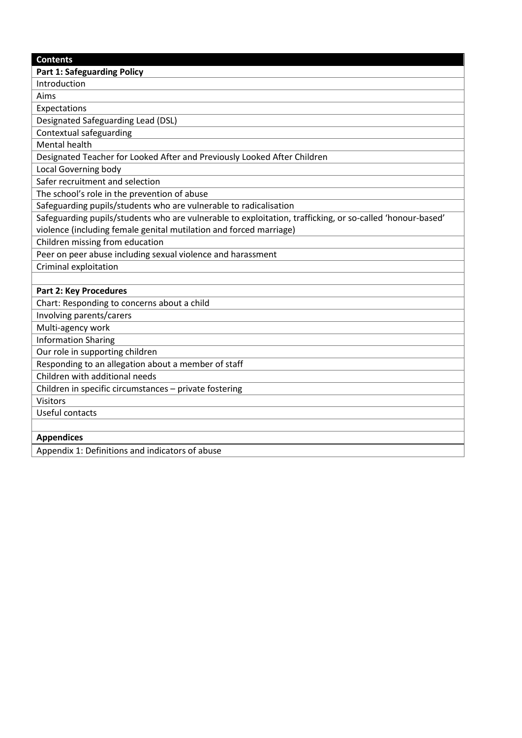| <b>Contents</b> |                                    |  |
|-----------------|------------------------------------|--|
|                 | <b>Part 1: Safeguarding Policy</b> |  |

Introduction

Aims

Expectations

Designated Safeguarding Lead (DSL)

Contextual safeguarding

Mental health

Designated Teacher for Looked After and Previously Looked After Children

Local Governing body

Safer recruitment and selection

The school's role in the prevention of abuse

Safeguarding pupils/students who are vulnerable to radicalisation

Safeguarding pupils/students who are vulnerable to exploitation, trafficking, or so-called 'honour-based' violence (including female genital mutilation and forced marriage)

Children missing from education

Peer on peer abuse including sexual violence and harassment

Criminal exploitation

## **Part 2: Key Procedures**

Chart: Responding to concerns about a child

Involving parents/carers

Multi-agency work

Information Sharing

Our role in supporting children

Responding to an allegation about a member of staff

Children with additional needs

Children in specific circumstances – private fostering

**Visitors** 

Useful contacts

#### **Appendices**

Appendix 1: Definitions and indicators of abuse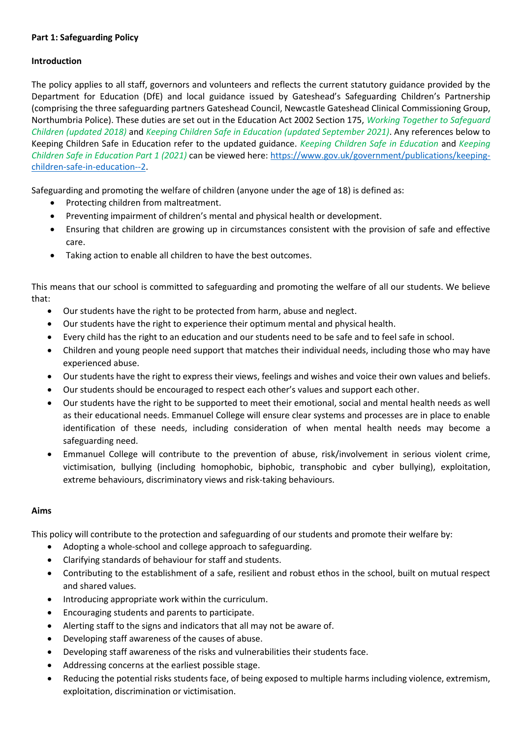## **Part 1: Safeguarding Policy**

## **Introduction**

The policy applies to all staff, governors and volunteers and reflects the current statutory guidance provided by the Department for Education (DfE) and local guidance issued by Gateshead's Safeguarding Children's Partnership (comprising the three safeguarding partners Gateshead Council, Newcastle Gateshead Clinical Commissioning Group, Northumbria Police). These duties are set out in the Education Act 2002 Section 175, *Working Together to Safeguard Children (updated 2018)* and *Keeping Children Safe in Education (updated September 2021)*. Any references below to Keeping Children Safe in Education refer to the updated guidance. *Keeping Children Safe in Education* and *Keeping Children Safe in Education Part 1 (2021)* can be viewed here: [https://www.gov.uk/government/publications/keeping](https://www.gov.uk/government/publications/keeping-children-safe-in-education--2)[children-safe-in-education--2.](https://www.gov.uk/government/publications/keeping-children-safe-in-education--2)

Safeguarding and promoting the welfare of children (anyone under the age of 18) is defined as:

- Protecting children from maltreatment.
- Preventing impairment of children's mental and physical health or development.
- Ensuring that children are growing up in circumstances consistent with the provision of safe and effective care.
- Taking action to enable all children to have the best outcomes.

This means that our school is committed to safeguarding and promoting the welfare of all our students. We believe that:

- Our students have the right to be protected from harm, abuse and neglect.
- Our students have the right to experience their optimum mental and physical health.
- Every child has the right to an education and our students need to be safe and to feel safe in school.
- Children and young people need support that matches their individual needs, including those who may have experienced abuse.
- Our students have the right to express their views, feelings and wishes and voice their own values and beliefs.
- Our students should be encouraged to respect each other's values and support each other.
- Our students have the right to be supported to meet their emotional, social and mental health needs as well as their educational needs. Emmanuel College will ensure clear systems and processes are in place to enable identification of these needs, including consideration of when mental health needs may become a safeguarding need.
- Emmanuel College will contribute to the prevention of abuse, risk/involvement in serious violent crime, victimisation, bullying (including homophobic, biphobic, transphobic and cyber bullying), exploitation, extreme behaviours, discriminatory views and risk-taking behaviours.

#### **Aims**

This policy will contribute to the protection and safeguarding of our students and promote their welfare by:

- Adopting a whole-school and college approach to safeguarding.
- Clarifying standards of behaviour for staff and students.
- Contributing to the establishment of a safe, resilient and robust ethos in the school, built on mutual respect and shared values.
- Introducing appropriate work within the curriculum.
- Encouraging students and parents to participate.
- Alerting staff to the signs and indicators that all may not be aware of.
- Developing staff awareness of the causes of abuse.
- Developing staff awareness of the risks and vulnerabilities their students face.
- Addressing concerns at the earliest possible stage.
- Reducing the potential risks students face, of being exposed to multiple harms including violence, extremism, exploitation, discrimination or victimisation.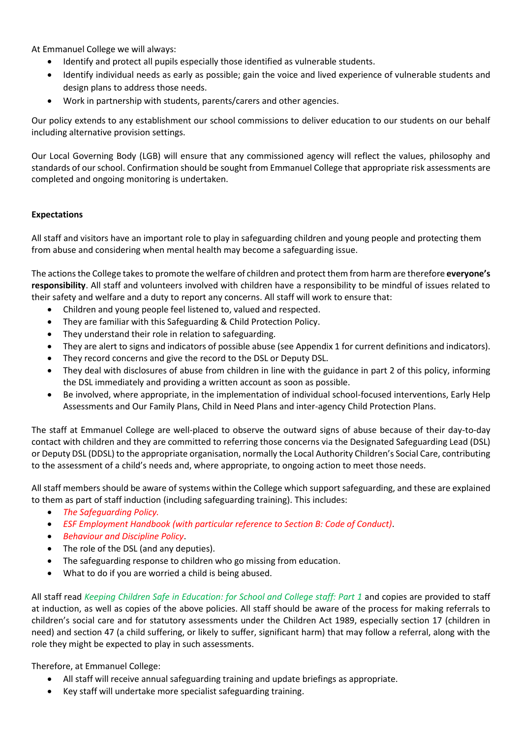At Emmanuel College we will always:

- Identify and protect all pupils especially those identified as vulnerable students.
- Identify individual needs as early as possible; gain the voice and lived experience of vulnerable students and design plans to address those needs.
- Work in partnership with students, parents/carers and other agencies.

Our policy extends to any establishment our school commissions to deliver education to our students on our behalf including alternative provision settings.

Our Local Governing Body (LGB) will ensure that any commissioned agency will reflect the values, philosophy and standards of our school. Confirmation should be sought from Emmanuel College that appropriate risk assessments are completed and ongoing monitoring is undertaken.

## **Expectations**

All staff and visitors have an important role to play in safeguarding children and young people and protecting them from abuse and considering when mental health may become a safeguarding issue.

The actions the College takes to promote the welfare of children and protect them from harm are therefore **everyone's responsibility**. All staff and volunteers involved with children have a responsibility to be mindful of issues related to their safety and welfare and a duty to report any concerns. All staff will work to ensure that:

- Children and young people feel listened to, valued and respected.
- They are familiar with this Safeguarding & Child Protection Policy.
- They understand their role in relation to safeguarding.
- They are alert to signs and indicators of possible abuse (see Appendix 1 for current definitions and indicators).
- They record concerns and give the record to the DSL or Deputy DSL.
- They deal with disclosures of abuse from children in line with the guidance in part 2 of this policy, informing the DSL immediately and providing a written account as soon as possible.
- Be involved, where appropriate, in the implementation of individual school-focused interventions, Early Help Assessments and Our Family Plans, Child in Need Plans and inter-agency Child Protection Plans.

The staff at Emmanuel College are well-placed to observe the outward signs of abuse because of their day-to-day contact with children and they are committed to referring those concerns via the Designated Safeguarding Lead (DSL) or Deputy DSL (DDSL) to the appropriate organisation, normally the Local Authority Children's Social Care, contributing to the assessment of a child's needs and, where appropriate, to ongoing action to meet those needs.

All staff members should be aware of systems within the College which support safeguarding, and these are explained to them as part of staff induction (including safeguarding training). This includes:

- *The Safeguarding Policy.*
- *ESF Employment Handbook (with particular reference to Section B: Code of Conduct)*.
- *Behaviour and Discipline Policy*.
- The role of the DSL (and any deputies).
- The safeguarding response to children who go missing from education.
- What to do if you are worried a child is being abused.

All staff read *Keeping Children Safe in Education: for School and College staff: Part 1* and copies are provided to staff at induction, as well as copies of the above policies. All staff should be aware of the process for making referrals to children's social care and for statutory assessments under the Children Act 1989, especially section 17 (children in need) and section 47 (a child suffering, or likely to suffer, significant harm) that may follow a referral, along with the role they might be expected to play in such assessments.

Therefore, at Emmanuel College:

- All staff will receive annual safeguarding training and update briefings as appropriate.
- Key staff will undertake more specialist safeguarding training.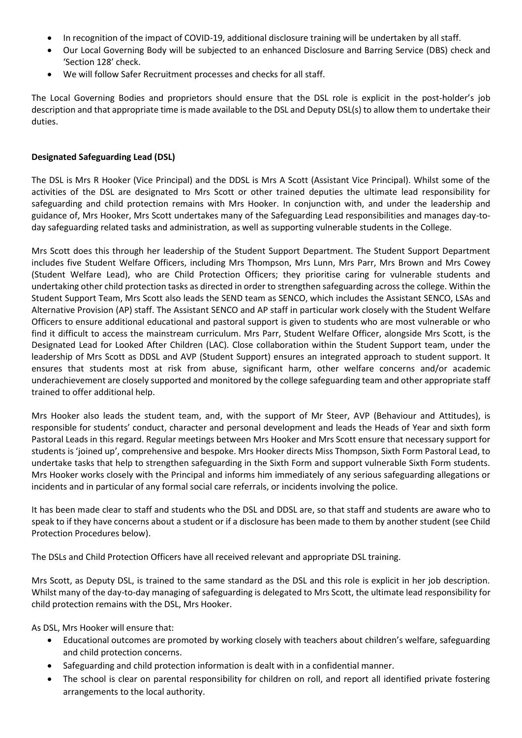- In recognition of the impact of COVID-19, additional disclosure training will be undertaken by all staff.
- Our Local Governing Body will be subjected to an enhanced Disclosure and Barring Service (DBS) check and 'Section 128' check.
- We will follow Safer Recruitment processes and checks for all staff.

The Local Governing Bodies and proprietors should ensure that the DSL role is explicit in the post-holder's job description and that appropriate time is made available to the DSL and Deputy DSL(s) to allow them to undertake their duties.

## **Designated Safeguarding Lead (DSL)**

The DSL is Mrs R Hooker (Vice Principal) and the DDSL is Mrs A Scott (Assistant Vice Principal). Whilst some of the activities of the DSL are designated to Mrs Scott or other trained deputies the ultimate lead responsibility for safeguarding and child protection remains with Mrs Hooker. In conjunction with, and under the leadership and guidance of, Mrs Hooker, Mrs Scott undertakes many of the Safeguarding Lead responsibilities and manages day-today safeguarding related tasks and administration, as well as supporting vulnerable students in the College.

Mrs Scott does this through her leadership of the Student Support Department. The Student Support Department includes five Student Welfare Officers, including Mrs Thompson, Mrs Lunn, Mrs Parr, Mrs Brown and Mrs Cowey (Student Welfare Lead), who are Child Protection Officers; they prioritise caring for vulnerable students and undertaking other child protection tasks as directed in order to strengthen safeguarding across the college. Within the Student Support Team, Mrs Scott also leads the SEND team as SENCO, which includes the Assistant SENCO, LSAs and Alternative Provision (AP) staff. The Assistant SENCO and AP staff in particular work closely with the Student Welfare Officers to ensure additional educational and pastoral support is given to students who are most vulnerable or who find it difficult to access the mainstream curriculum. Mrs Parr, Student Welfare Officer, alongside Mrs Scott, is the Designated Lead for Looked After Children (LAC). Close collaboration within the Student Support team, under the leadership of Mrs Scott as DDSL and AVP (Student Support) ensures an integrated approach to student support. It ensures that students most at risk from abuse, significant harm, other welfare concerns and/or academic underachievement are closely supported and monitored by the college safeguarding team and other appropriate staff trained to offer additional help.

Mrs Hooker also leads the student team, and, with the support of Mr Steer, AVP (Behaviour and Attitudes), is responsible for students' conduct, character and personal development and leads the Heads of Year and sixth form Pastoral Leads in this regard. Regular meetings between Mrs Hooker and Mrs Scott ensure that necessary support for students is 'joined up', comprehensive and bespoke. Mrs Hooker directs Miss Thompson, Sixth Form Pastoral Lead, to undertake tasks that help to strengthen safeguarding in the Sixth Form and support vulnerable Sixth Form students. Mrs Hooker works closely with the Principal and informs him immediately of any serious safeguarding allegations or incidents and in particular of any formal social care referrals, or incidents involving the police.

It has been made clear to staff and students who the DSL and DDSL are, so that staff and students are aware who to speak to if they have concerns about a student or if a disclosure has been made to them by another student (see Child Protection Procedures below).

The DSLs and Child Protection Officers have all received relevant and appropriate DSL training.

Mrs Scott, as Deputy DSL, is trained to the same standard as the DSL and this role is explicit in her job description. Whilst many of the day-to-day managing of safeguarding is delegated to Mrs Scott, the ultimate lead responsibility for child protection remains with the DSL, Mrs Hooker.

As DSL, Mrs Hooker will ensure that:

- Educational outcomes are promoted by working closely with teachers about children's welfare, safeguarding and child protection concerns.
- Safeguarding and child protection information is dealt with in a confidential manner.
- The school is clear on parental responsibility for children on roll, and report all identified private fostering arrangements to the local authority.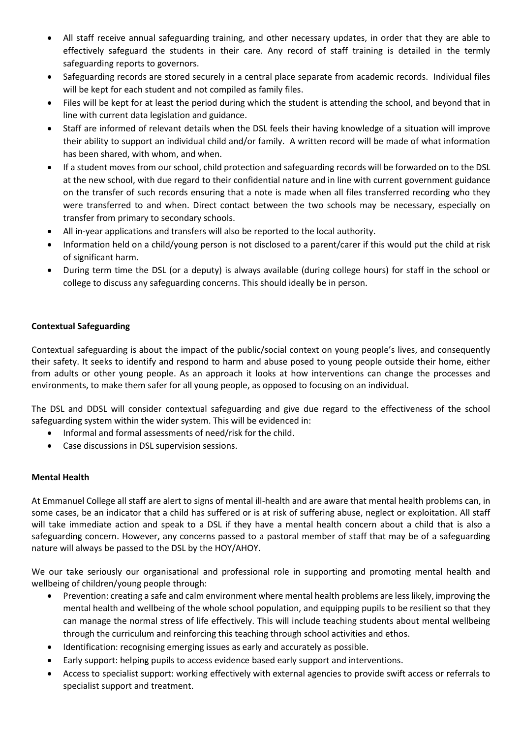- All staff receive annual safeguarding training, and other necessary updates, in order that they are able to effectively safeguard the students in their care. Any record of staff training is detailed in the termly safeguarding reports to governors.
- Safeguarding records are stored securely in a central place separate from academic records. Individual files will be kept for each student and not compiled as family files.
- Files will be kept for at least the period during which the student is attending the school, and beyond that in line with current data legislation and guidance.
- Staff are informed of relevant details when the DSL feels their having knowledge of a situation will improve their ability to support an individual child and/or family. A written record will be made of what information has been shared, with whom, and when.
- If a student moves from our school, child protection and safeguarding records will be forwarded on to the DSL at the new school, with due regard to their confidential nature and in line with current government guidance on the transfer of such records ensuring that a note is made when all files transferred recording who they were transferred to and when. Direct contact between the two schools may be necessary, especially on transfer from primary to secondary schools.
- All in-year applications and transfers will also be reported to the local authority.
- Information held on a child/young person is not disclosed to a parent/carer if this would put the child at risk of significant harm.
- During term time the DSL (or a deputy) is always available (during college hours) for staff in the school or college to discuss any safeguarding concerns. This should ideally be in person.

## **Contextual Safeguarding**

Contextual safeguarding is about the impact of the public/social context on young people's lives, and consequently their safety. It seeks to identify and respond to harm and abuse posed to young people outside their home, either from adults or other young people. As an approach it looks at how interventions can change the processes and environments, to make them safer for all young people, as opposed to focusing on an individual.

The DSL and DDSL will consider contextual safeguarding and give due regard to the effectiveness of the school safeguarding system within the wider system. This will be evidenced in:

- Informal and formal assessments of need/risk for the child.
- Case discussions in DSL supervision sessions.

#### **Mental Health**

At Emmanuel College all staff are alert to signs of mental ill-health and are aware that mental health problems can, in some cases, be an indicator that a child has suffered or is at risk of suffering abuse, neglect or exploitation. All staff will take immediate action and speak to a DSL if they have a mental health concern about a child that is also a safeguarding concern. However, any concerns passed to a pastoral member of staff that may be of a safeguarding nature will always be passed to the DSL by the HOY/AHOY.

We our take seriously our organisational and professional role in supporting and promoting mental health and wellbeing of children/young people through:

- Prevention: creating a safe and calm environment where mental health problems are less likely, improving the mental health and wellbeing of the whole school population, and equipping pupils to be resilient so that they can manage the normal stress of life effectively. This will include teaching students about mental wellbeing through the curriculum and reinforcing this teaching through school activities and ethos.
- Identification: recognising emerging issues as early and accurately as possible.
- Early support: helping pupils to access evidence based early support and interventions.
- Access to specialist support: working effectively with external agencies to provide swift access or referrals to specialist support and treatment.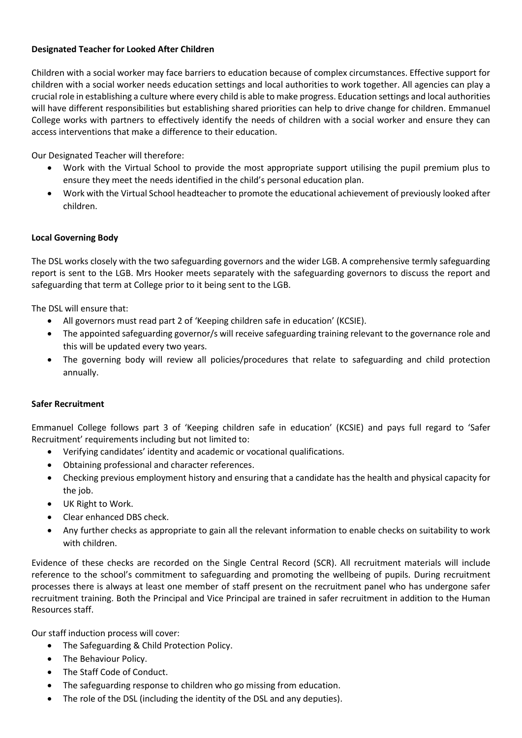## **Designated Teacher for Looked After Children**

Children with a social worker may face barriers to education because of complex circumstances. Effective support for children with a social worker needs education settings and local authorities to work together. All agencies can play a crucial role in establishing a culture where every child is able to make progress. Education settings and local authorities will have different responsibilities but establishing shared priorities can help to drive change for children. Emmanuel College works with partners to effectively identify the needs of children with a social worker and ensure they can access interventions that make a difference to their education.

Our Designated Teacher will therefore:

- Work with the Virtual School to provide the most appropriate support utilising the pupil premium plus to ensure they meet the needs identified in the child's personal education plan.
- Work with the Virtual School headteacher to promote the educational achievement of previously looked after children.

## **Local Governing Body**

The DSL works closely with the two safeguarding governors and the wider LGB. A comprehensive termly safeguarding report is sent to the LGB. Mrs Hooker meets separately with the safeguarding governors to discuss the report and safeguarding that term at College prior to it being sent to the LGB.

The DSL will ensure that:

- All governors must read part 2 of 'Keeping children safe in education' (KCSIE).
- The appointed safeguarding governor/s will receive safeguarding training relevant to the governance role and this will be updated every two years.
- The governing body will review all policies/procedures that relate to safeguarding and child protection annually.

## **Safer Recruitment**

Emmanuel College follows part 3 of 'Keeping children safe in education' (KCSIE) and pays full regard to 'Safer Recruitment' requirements including but not limited to:

- Verifying candidates' identity and academic or vocational qualifications.
- Obtaining professional and character references.
- Checking previous employment history and ensuring that a candidate has the health and physical capacity for the job.
- UK Right to Work.
- Clear enhanced DBS check.
- Any further checks as appropriate to gain all the relevant information to enable checks on suitability to work with children.

Evidence of these checks are recorded on the Single Central Record (SCR). All recruitment materials will include reference to the school's commitment to safeguarding and promoting the wellbeing of pupils. During recruitment processes there is always at least one member of staff present on the recruitment panel who has undergone safer recruitment training. Both the Principal and Vice Principal are trained in safer recruitment in addition to the Human Resources staff.

Our staff induction process will cover:

- The Safeguarding & Child Protection Policy.
- The Behaviour Policy.
- The Staff Code of Conduct.
- The safeguarding response to children who go missing from education.
- The role of the DSL (including the identity of the DSL and any deputies).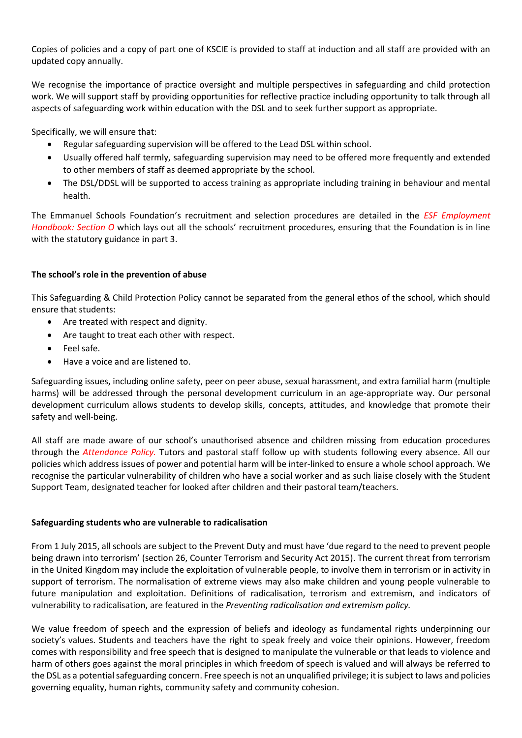Copies of policies and a copy of part one of KSCIE is provided to staff at induction and all staff are provided with an updated copy annually.

We recognise the importance of practice oversight and multiple perspectives in safeguarding and child protection work. We will support staff by providing opportunities for reflective practice including opportunity to talk through all aspects of safeguarding work within education with the DSL and to seek further support as appropriate.

Specifically, we will ensure that:

- Regular safeguarding supervision will be offered to the Lead DSL within school.
- Usually offered half termly, safeguarding supervision may need to be offered more frequently and extended to other members of staff as deemed appropriate by the school.
- The DSL/DDSL will be supported to access training as appropriate including training in behaviour and mental health.

The Emmanuel Schools Foundation's recruitment and selection procedures are detailed in the *ESF Employment Handbook: Section O* which lays out all the schools' recruitment procedures, ensuring that the Foundation is in line with the statutory guidance in part 3.

## **The school's role in the prevention of abuse**

This Safeguarding & Child Protection Policy cannot be separated from the general ethos of the school, which should ensure that students:

- Are treated with respect and dignity.
- Are taught to treat each other with respect.
- Feel safe.
- Have a voice and are listened to.

Safeguarding issues, including online safety, peer on peer abuse, sexual harassment, and extra familial harm (multiple harms) will be addressed through the personal development curriculum in an age-appropriate way. Our personal development curriculum allows students to develop skills, concepts, attitudes, and knowledge that promote their safety and well-being.

All staff are made aware of our school's unauthorised absence and children missing from education procedures through the *Attendance Policy.* Tutors and pastoral staff follow up with students following every absence. All our policies which address issues of power and potential harm will be inter-linked to ensure a whole school approach. We recognise the particular vulnerability of children who have a social worker and as such liaise closely with the Student Support Team, designated teacher for looked after children and their pastoral team/teachers.

#### **Safeguarding students who are vulnerable to radicalisation**

From 1 July 2015, all schools are subject to the Prevent Duty and must have 'due regard to the need to prevent people being drawn into terrorism' (section 26, Counter Terrorism and Security Act 2015). The current threat from terrorism in the United Kingdom may include the exploitation of vulnerable people, to involve them in terrorism or in activity in support of terrorism. The normalisation of extreme views may also make children and young people vulnerable to future manipulation and exploitation. Definitions of radicalisation, terrorism and extremism, and indicators of vulnerability to radicalisation, are featured in the *Preventing radicalisation and extremism policy.*

We value freedom of speech and the expression of beliefs and ideology as fundamental rights underpinning our society's values. Students and teachers have the right to speak freely and voice their opinions. However, freedom comes with responsibility and free speech that is designed to manipulate the vulnerable or that leads to violence and harm of others goes against the moral principles in which freedom of speech is valued and will always be referred to the DSL as a potential safeguarding concern. Free speech is not an unqualified privilege; it is subject to laws and policies governing equality, human rights, community safety and community cohesion.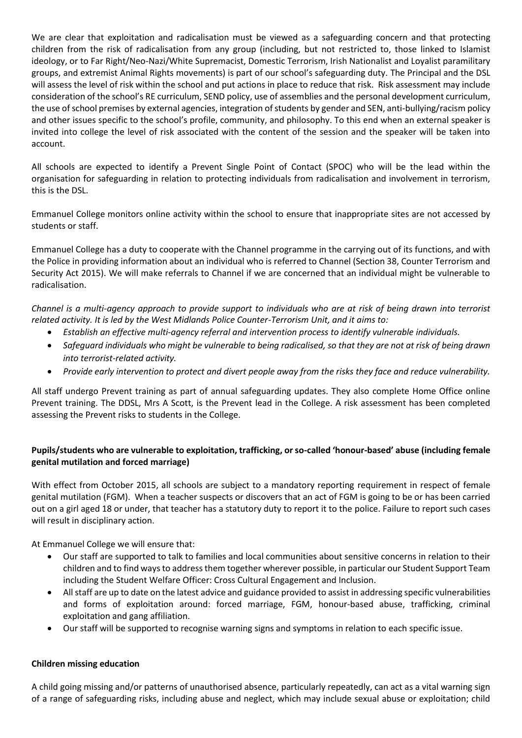We are clear that exploitation and radicalisation must be viewed as a safeguarding concern and that protecting children from the risk of radicalisation from any group (including, but not restricted to, those linked to Islamist ideology, or to Far Right/Neo-Nazi/White Supremacist, Domestic Terrorism, Irish Nationalist and Loyalist paramilitary groups, and extremist Animal Rights movements) is part of our school's safeguarding duty. The Principal and the DSL will assess the level of risk within the school and put actions in place to reduce that risk. Risk assessment may include consideration of the school's RE curriculum, SEND policy, use of assemblies and the personal development curriculum, the use of school premises by external agencies, integration of students by gender and SEN, anti-bullying/racism policy and other issues specific to the school's profile, community, and philosophy. To this end when an external speaker is invited into college the level of risk associated with the content of the session and the speaker will be taken into account.

All schools are expected to identify a Prevent Single Point of Contact (SPOC) who will be the lead within the organisation for safeguarding in relation to protecting individuals from radicalisation and involvement in terrorism, this is the DSL.

Emmanuel College monitors online activity within the school to ensure that inappropriate sites are not accessed by students or staff.

Emmanuel College has a duty to cooperate with the Channel programme in the carrying out of its functions, and with the Police in providing information about an individual who is referred to Channel (Section 38, Counter Terrorism and Security Act 2015). We will make referrals to Channel if we are concerned that an individual might be vulnerable to radicalisation.

*Channel is a multi-agency approach to provide support to individuals who are at risk of being drawn into terrorist related activity. It is led by the West Midlands Police Counter-Terrorism Unit, and it aims to:*

- *Establish an effective multi-agency referral and intervention process to identify vulnerable individuals.*
- *Safeguard individuals who might be vulnerable to being radicalised, so that they are not at risk of being drawn into terrorist-related activity.*
- *Provide early intervention to protect and divert people away from the risks they face and reduce vulnerability.*

All staff undergo Prevent training as part of annual safeguarding updates. They also complete Home Office online Prevent training. The DDSL, Mrs A Scott, is the Prevent lead in the College. A risk assessment has been completed assessing the Prevent risks to students in the College.

## **Pupils/students who are vulnerable to exploitation, trafficking, or so-called 'honour-based' abuse (including female genital mutilation and forced marriage)**

With effect from October 2015, all schools are subject to a mandatory reporting requirement in respect of female genital mutilation (FGM). When a teacher suspects or discovers that an act of FGM is going to be or has been carried out on a girl aged 18 or under, that teacher has a statutory duty to report it to the police. Failure to report such cases will result in disciplinary action.

At Emmanuel College we will ensure that:

- Our staff are supported to talk to families and local communities about sensitive concerns in relation to their children and to find ways to address them together wherever possible, in particular our Student Support Team including the Student Welfare Officer: Cross Cultural Engagement and Inclusion.
- All staff are up to date on the latest advice and guidance provided to assist in addressing specific vulnerabilities and forms of exploitation around: forced marriage, FGM, honour-based abuse, trafficking, criminal exploitation and gang affiliation.
- Our staff will be supported to recognise warning signs and symptoms in relation to each specific issue.

## **Children missing education**

A child going missing and/or patterns of unauthorised absence, particularly repeatedly, can act as a vital warning sign of a range of safeguarding risks, including abuse and neglect, which may include sexual abuse or exploitation; child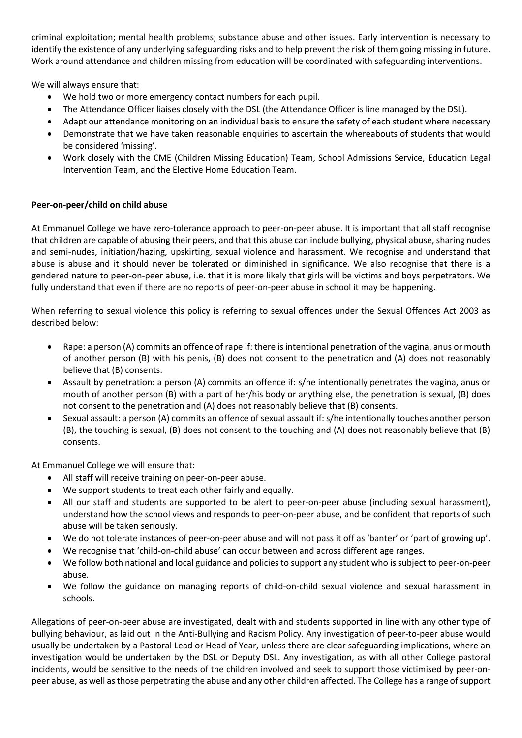criminal exploitation; mental health problems; substance abuse and other issues. Early intervention is necessary to identify the existence of any underlying safeguarding risks and to help prevent the risk of them going missing in future. Work around attendance and children missing from education will be coordinated with safeguarding interventions.

We will always ensure that:

- We hold two or more emergency contact numbers for each pupil.
- The Attendance Officer liaises closely with the DSL (the Attendance Officer is line managed by the DSL).
- Adapt our attendance monitoring on an individual basis to ensure the safety of each student where necessary
- Demonstrate that we have taken reasonable enquiries to ascertain the whereabouts of students that would be considered 'missing'.
- Work closely with the CME (Children Missing Education) Team, School Admissions Service, Education Legal Intervention Team, and the Elective Home Education Team.

## **Peer-on-peer/child on child abuse**

At Emmanuel College we have zero-tolerance approach to peer-on-peer abuse. It is important that all staff recognise that children are capable of abusing their peers, and that this abuse can include bullying, physical abuse, sharing nudes and semi-nudes, initiation/hazing, upskirting, sexual violence and harassment. We recognise and understand that abuse is abuse and it should never be tolerated or diminished in significance. We also recognise that there is a gendered nature to peer-on-peer abuse, i.e. that it is more likely that girls will be victims and boys perpetrators. We fully understand that even if there are no reports of peer-on-peer abuse in school it may be happening.

When referring to sexual violence this policy is referring to sexual offences under the Sexual Offences Act 2003 as described below:

- Rape: a person (A) commits an offence of rape if: there is intentional penetration of the vagina, anus or mouth of another person (B) with his penis, (B) does not consent to the penetration and (A) does not reasonably believe that (B) consents.
- Assault by penetration: a person (A) commits an offence if: s/he intentionally penetrates the vagina, anus or mouth of another person (B) with a part of her/his body or anything else, the penetration is sexual, (B) does not consent to the penetration and (A) does not reasonably believe that (B) consents.
- Sexual assault: a person (A) commits an offence of sexual assault if: s/he intentionally touches another person (B), the touching is sexual, (B) does not consent to the touching and (A) does not reasonably believe that (B) consents.

At Emmanuel College we will ensure that:

- All staff will receive training on peer-on-peer abuse.
- We support students to treat each other fairly and equally.
- All our staff and students are supported to be alert to peer-on-peer abuse (including sexual harassment), understand how the school views and responds to peer-on-peer abuse, and be confident that reports of such abuse will be taken seriously.
- We do not tolerate instances of peer-on-peer abuse and will not pass it off as 'banter' or 'part of growing up'.
- We recognise that 'child-on-child abuse' can occur between and across different age ranges.
- We follow both national and local guidance and policies to support any student who is subject to peer-on-peer abuse.
- We follow the guidance on managing reports of child-on-child sexual violence and sexual harassment in schools.

Allegations of peer-on-peer abuse are investigated, dealt with and students supported in line with any other type of bullying behaviour, as laid out in the Anti-Bullying and Racism Policy. Any investigation of peer-to-peer abuse would usually be undertaken by a Pastoral Lead or Head of Year, unless there are clear safeguarding implications, where an investigation would be undertaken by the DSL or Deputy DSL. Any investigation, as with all other College pastoral incidents, would be sensitive to the needs of the children involved and seek to support those victimised by peer-onpeer abuse, as well as those perpetrating the abuse and any other children affected. The College has a range of support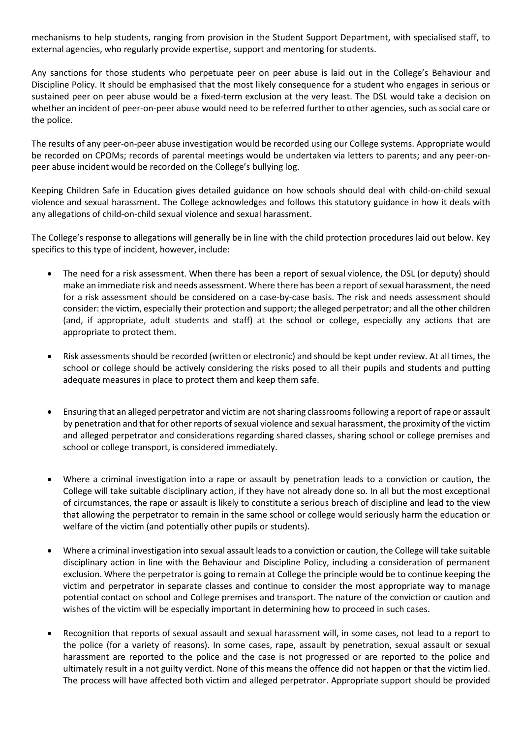mechanisms to help students, ranging from provision in the Student Support Department, with specialised staff, to external agencies, who regularly provide expertise, support and mentoring for students.

Any sanctions for those students who perpetuate peer on peer abuse is laid out in the College's Behaviour and Discipline Policy. It should be emphasised that the most likely consequence for a student who engages in serious or sustained peer on peer abuse would be a fixed-term exclusion at the very least. The DSL would take a decision on whether an incident of peer-on-peer abuse would need to be referred further to other agencies, such as social care or the police.

The results of any peer-on-peer abuse investigation would be recorded using our College systems. Appropriate would be recorded on CPOMs; records of parental meetings would be undertaken via letters to parents; and any peer-onpeer abuse incident would be recorded on the College's bullying log.

Keeping Children Safe in Education gives detailed guidance on how schools should deal with child-on-child sexual violence and sexual harassment. The College acknowledges and follows this statutory guidance in how it deals with any allegations of child-on-child sexual violence and sexual harassment.

The College's response to allegations will generally be in line with the child protection procedures laid out below. Key specifics to this type of incident, however, include:

- The need for a risk assessment. When there has been a report of sexual violence, the DSL (or deputy) should make an immediate risk and needs assessment. Where there has been a report of sexual harassment, the need for a risk assessment should be considered on a case-by-case basis. The risk and needs assessment should consider: the victim, especially their protection and support; the alleged perpetrator; and all the other children (and, if appropriate, adult students and staff) at the school or college, especially any actions that are appropriate to protect them.
- Risk assessments should be recorded (written or electronic) and should be kept under review. At all times, the school or college should be actively considering the risks posed to all their pupils and students and putting adequate measures in place to protect them and keep them safe.
- Ensuring that an alleged perpetrator and victim are not sharing classrooms following a report of rape or assault by penetration and that for other reports of sexual violence and sexual harassment, the proximity of the victim and alleged perpetrator and considerations regarding shared classes, sharing school or college premises and school or college transport, is considered immediately.
- Where a criminal investigation into a rape or assault by penetration leads to a conviction or caution, the College will take suitable disciplinary action, if they have not already done so. In all but the most exceptional of circumstances, the rape or assault is likely to constitute a serious breach of discipline and lead to the view that allowing the perpetrator to remain in the same school or college would seriously harm the education or welfare of the victim (and potentially other pupils or students).
- Where a criminal investigation into sexual assault leads to a conviction or caution, the College will take suitable disciplinary action in line with the Behaviour and Discipline Policy, including a consideration of permanent exclusion. Where the perpetrator is going to remain at College the principle would be to continue keeping the victim and perpetrator in separate classes and continue to consider the most appropriate way to manage potential contact on school and College premises and transport. The nature of the conviction or caution and wishes of the victim will be especially important in determining how to proceed in such cases.
- Recognition that reports of sexual assault and sexual harassment will, in some cases, not lead to a report to the police (for a variety of reasons). In some cases, rape, assault by penetration, sexual assault or sexual harassment are reported to the police and the case is not progressed or are reported to the police and ultimately result in a not guilty verdict. None of this means the offence did not happen or that the victim lied. The process will have affected both victim and alleged perpetrator. Appropriate support should be provided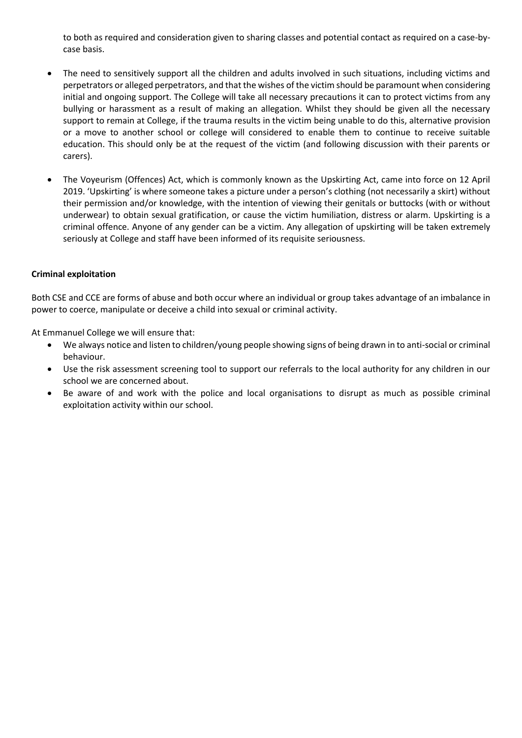to both as required and consideration given to sharing classes and potential contact as required on a case-bycase basis.

- The need to sensitively support all the children and adults involved in such situations, including victims and perpetrators or alleged perpetrators, and that the wishes of the victim should be paramount when considering initial and ongoing support. The College will take all necessary precautions it can to protect victims from any bullying or harassment as a result of making an allegation. Whilst they should be given all the necessary support to remain at College, if the trauma results in the victim being unable to do this, alternative provision or a move to another school or college will considered to enable them to continue to receive suitable education. This should only be at the request of the victim (and following discussion with their parents or carers).
- The Voyeurism (Offences) Act, which is commonly known as the Upskirting Act, came into force on 12 April 2019. 'Upskirting' is where someone takes a picture under a person's clothing (not necessarily a skirt) without their permission and/or knowledge, with the intention of viewing their genitals or buttocks (with or without underwear) to obtain sexual gratification, or cause the victim humiliation, distress or alarm. Upskirting is a criminal offence. Anyone of any gender can be a victim. Any allegation of upskirting will be taken extremely seriously at College and staff have been informed of its requisite seriousness.

## **Criminal exploitation**

Both CSE and CCE are forms of abuse and both occur where an individual or group takes advantage of an imbalance in power to coerce, manipulate or deceive a child into sexual or criminal activity.

At Emmanuel College we will ensure that:

- We always notice and listen to children/young people showing signs of being drawn in to anti-social or criminal behaviour.
- Use the risk assessment screening tool to support our referrals to the local authority for any children in our school we are concerned about.
- Be aware of and work with the police and local organisations to disrupt as much as possible criminal exploitation activity within our school.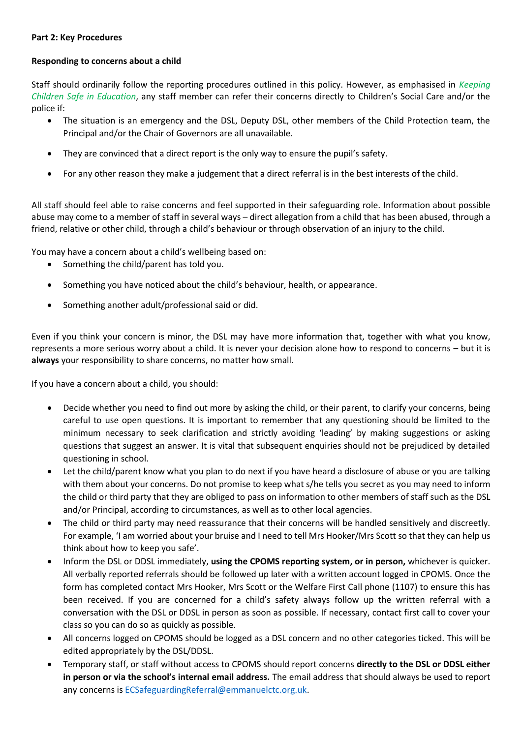#### **Part 2: Key Procedures**

#### **Responding to concerns about a child**

Staff should ordinarily follow the reporting procedures outlined in this policy. However, as emphasised in *Keeping Children Safe in Education*, any staff member can refer their concerns directly to Children's Social Care and/or the police if:

- The situation is an emergency and the DSL, Deputy DSL, other members of the Child Protection team, the Principal and/or the Chair of Governors are all unavailable.
- They are convinced that a direct report is the only way to ensure the pupil's safety.
- For any other reason they make a judgement that a direct referral is in the best interests of the child.

All staff should feel able to raise concerns and feel supported in their safeguarding role. Information about possible abuse may come to a member of staff in several ways – direct allegation from a child that has been abused, through a friend, relative or other child, through a child's behaviour or through observation of an injury to the child.

You may have a concern about a child's wellbeing based on:

- Something the child/parent has told you.
- Something you have noticed about the child's behaviour, health, or appearance.
- Something another adult/professional said or did.

Even if you think your concern is minor, the DSL may have more information that, together with what you know, represents a more serious worry about a child. It is never your decision alone how to respond to concerns – but it is **always** your responsibility to share concerns, no matter how small.

If you have a concern about a child, you should:

- Decide whether you need to find out more by asking the child, or their parent, to clarify your concerns, being careful to use open questions. It is important to remember that any questioning should be limited to the minimum necessary to seek clarification and strictly avoiding 'leading' by making suggestions or asking questions that suggest an answer. It is vital that subsequent enquiries should not be prejudiced by detailed questioning in school.
- Let the child/parent know what you plan to do next if you have heard a disclosure of abuse or you are talking with them about your concerns. Do not promise to keep what s/he tells you secret as you may need to inform the child or third party that they are obliged to pass on information to other members of staff such as the DSL and/or Principal, according to circumstances, as well as to other local agencies.
- The child or third party may need reassurance that their concerns will be handled sensitively and discreetly. For example, 'I am worried about your bruise and I need to tell Mrs Hooker/Mrs Scott so that they can help us think about how to keep you safe'.
- Inform the DSL or DDSL immediately, **using the CPOMS reporting system, or in person,** whichever is quicker. All verbally reported referrals should be followed up later with a written account logged in CPOMS. Once the form has completed contact Mrs Hooker, Mrs Scott or the Welfare First Call phone (1107) to ensure this has been received. If you are concerned for a child's safety always follow up the written referral with a conversation with the DSL or DDSL in person as soon as possible. If necessary, contact first call to cover your class so you can do so as quickly as possible.
- All concerns logged on CPOMS should be logged as a DSL concern and no other categories ticked. This will be edited appropriately by the DSL/DDSL.
- Temporary staff, or staff without access to CPOMS should report concerns **directly to the DSL or DDSL either in person or via the school's internal email address.** The email address that should always be used to report any concerns is [ECSafeguardingReferral@emmanuelctc.org.uk.](mailto:ECSafeguardingReferral@emmanuelctc.org.uk)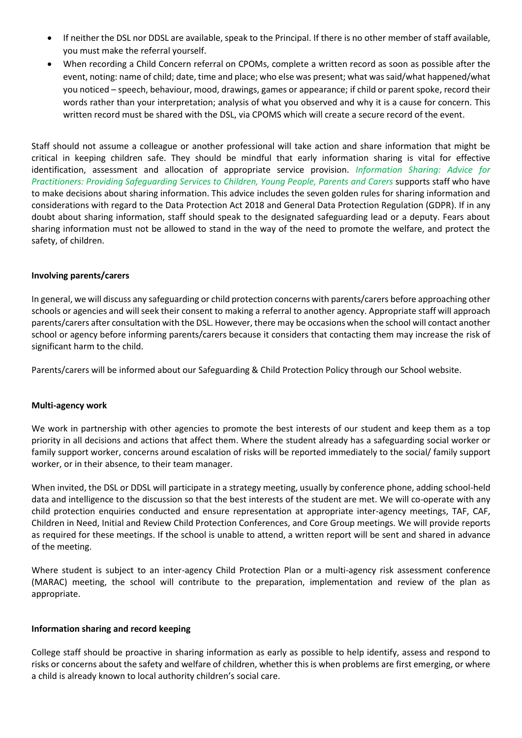- If neither the DSL nor DDSL are available, speak to the Principal. If there is no other member of staff available, you must make the referral yourself.
- When recording a Child Concern referral on CPOMs, complete a written record as soon as possible after the event, noting: name of child; date, time and place; who else was present; what was said/what happened/what you noticed – speech, behaviour, mood, drawings, games or appearance; if child or parent spoke, record their words rather than your interpretation; analysis of what you observed and why it is a cause for concern. This written record must be shared with the DSL, via CPOMS which will create a secure record of the event.

Staff should not assume a colleague or another professional will take action and share information that might be critical in keeping children safe. They should be mindful that early information sharing is vital for effective identification, assessment and allocation of appropriate service provision. *Information Sharing: Advice for Practitioners: Providing Safeguarding Services to Children, Young People, Parents and Carers* supports staff who have to make decisions about sharing information. This advice includes the seven golden rules for sharing information and considerations with regard to the Data Protection Act 2018 and General Data Protection Regulation (GDPR). If in any doubt about sharing information, staff should speak to the designated safeguarding lead or a deputy. Fears about sharing information must not be allowed to stand in the way of the need to promote the welfare, and protect the safety, of children.

#### **Involving parents/carers**

In general, we will discuss any safeguarding or child protection concerns with parents/carers before approaching other schools or agencies and will seek their consent to making a referral to another agency. Appropriate staff will approach parents/carers after consultation with the DSL. However, there may be occasions when the school will contact another school or agency before informing parents/carers because it considers that contacting them may increase the risk of significant harm to the child.

Parents/carers will be informed about our Safeguarding & Child Protection Policy through our School website.

#### **Multi-agency work**

We work in partnership with other agencies to promote the best interests of our student and keep them as a top priority in all decisions and actions that affect them. Where the student already has a safeguarding social worker or family support worker, concerns around escalation of risks will be reported immediately to the social/ family support worker, or in their absence, to their team manager.

When invited, the DSL or DDSL will participate in a strategy meeting, usually by conference phone, adding school-held data and intelligence to the discussion so that the best interests of the student are met. We will co-operate with any child protection enquiries conducted and ensure representation at appropriate inter-agency meetings, TAF, CAF, Children in Need, Initial and Review Child Protection Conferences, and Core Group meetings. We will provide reports as required for these meetings. If the school is unable to attend, a written report will be sent and shared in advance of the meeting.

Where student is subject to an inter-agency Child Protection Plan or a multi-agency risk assessment conference (MARAC) meeting, the school will contribute to the preparation, implementation and review of the plan as appropriate.

#### **Information sharing and record keeping**

College staff should be proactive in sharing information as early as possible to help identify, assess and respond to risks or concerns about the safety and welfare of children, whether this is when problems are first emerging, or where a child is already known to local authority children's social care.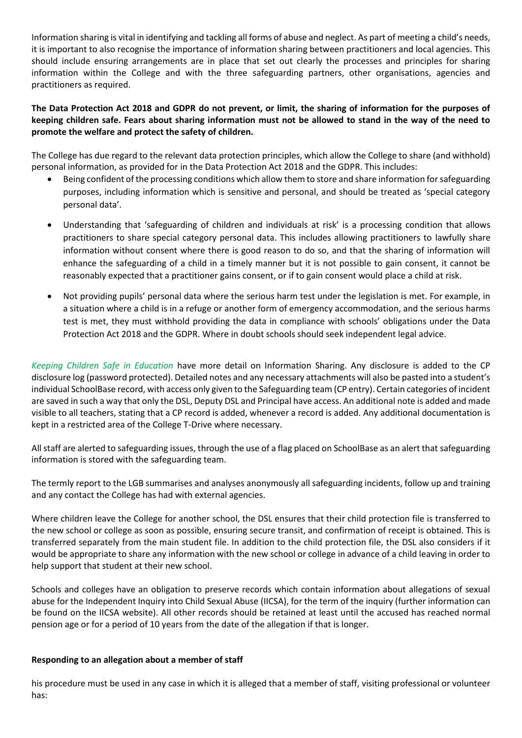Information sharing is vital in identifying and tackling all forms of abuse and neglect. As part of meeting a child's needs, it is important to also recognise the importance of information sharing between practitioners and local agencies. This should include ensuring arrangements are in place that set out clearly the processes and principles for sharing information within the College and with the three safeguarding partners, other organisations, agencies and practitioners as required.

## **The Data Protection Act 2018 and GDPR do not prevent, or limit, the sharing of information for the purposes of keeping children safe. Fears about sharing information must not be allowed to stand in the way of the need to promote the welfare and protect the safety of children.**

The College has due regard to the relevant data protection principles, which allow the College to share (and withhold) personal information, as provided for in the Data Protection Act 2018 and the GDPR. This includes:

- Being confident of the processing conditions which allow them to store and share information for safeguarding purposes, including information which is sensitive and personal, and should be treated as 'special category personal data'.
- Understanding that 'safeguarding of children and individuals at risk' is a processing condition that allows practitioners to share special category personal data. This includes allowing practitioners to lawfully share information without consent where there is good reason to do so, and that the sharing of information will enhance the safeguarding of a child in a timely manner but it is not possible to gain consent, it cannot be reasonably expected that a practitioner gains consent, or if to gain consent would place a child at risk.
- Not providing pupils' personal data where the serious harm test under the legislation is met. For example, in a situation where a child is in a refuge or another form of emergency accommodation, and the serious harms test is met, they must withhold providing the data in compliance with schools' obligations under the Data Protection Act 2018 and the GDPR. Where in doubt schools should seek independent legal advice.

*Keeping Children Safe in Education* have more detail on Information Sharing. Any disclosure is added to the CP disclosure log (password protected). Detailed notes and any necessary attachments will also be pasted into a student's individual SchoolBase record, with access only given to the Safeguarding team (CP entry). Certain categories of incident are saved in such a way that only the DSL, Deputy DSL and Principal have access. An additional note is added and made visible to all teachers, stating that a CP record is added, whenever a record is added. Any additional documentation is kept in a restricted area of the College T-Drive where necessary.

All staff are alerted to safeguarding issues, through the use of a flag placed on SchoolBase as an alert that safeguarding information is stored with the safeguarding team.

The termly report to the LGB summarises and analyses anonymously all safeguarding incidents, follow up and training and any contact the College has had with external agencies.

Where children leave the College for another school, the DSL ensures that their child protection file is transferred to the new school or college as soon as possible, ensuring secure transit, and confirmation of receipt is obtained. This is transferred separately from the main student file. In addition to the child protection file, the DSL also considers if it would be appropriate to share any information with the new school or college in advance of a child leaving in order to help support that student at their new school.

Schools and colleges have an obligation to preserve records which contain information about allegations of sexual abuse for the Independent Inquiry into Child Sexual Abuse (IICSA), for the term of the inquiry (further information can be found on the IICSA website). All other records should be retained at least until the accused has reached normal pension age or for a period of 10 years from the date of the allegation if that is longer.

## **Responding to an allegation about a member of staff**

his procedure must be used in any case in which it is alleged that a member of staff, visiting professional or volunteer has: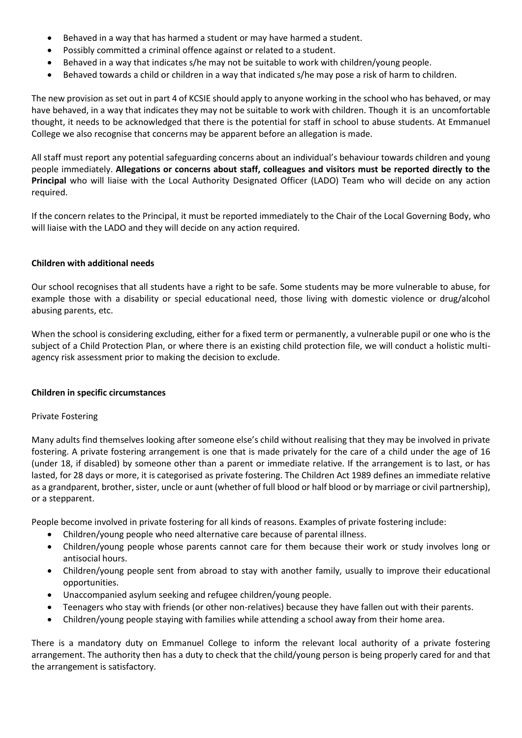- Behaved in a way that has harmed a student or may have harmed a student.
- Possibly committed a criminal offence against or related to a student.
- Behaved in a way that indicates s/he may not be suitable to work with children/young people.
- Behaved towards a child or children in a way that indicated s/he may pose a risk of harm to children.

The new provision as set out in part 4 of KCSIE should apply to anyone working in the school who has behaved, or may have behaved, in a way that indicates they may not be suitable to work with children. Though it is an uncomfortable thought, it needs to be acknowledged that there is the potential for staff in school to abuse students. At Emmanuel College we also recognise that concerns may be apparent before an allegation is made.

All staff must report any potential safeguarding concerns about an individual's behaviour towards children and young people immediately. **Allegations or concerns about staff, colleagues and visitors must be reported directly to the Principal** who will liaise with the Local Authority Designated Officer (LADO) Team who will decide on any action required.

If the concern relates to the Principal, it must be reported immediately to the Chair of the Local Governing Body, who will liaise with the LADO and they will decide on any action required.

## **Children with additional needs**

Our school recognises that all students have a right to be safe. Some students may be more vulnerable to abuse, for example those with a disability or special educational need, those living with domestic violence or drug/alcohol abusing parents, etc.

When the school is considering excluding, either for a fixed term or permanently, a vulnerable pupil or one who is the subject of a Child Protection Plan, or where there is an existing child protection file, we will conduct a holistic multiagency risk assessment prior to making the decision to exclude.

#### **Children in specific circumstances**

## Private Fostering

Many adults find themselves looking after someone else's child without realising that they may be involved in private fostering. A private fostering arrangement is one that is made privately for the care of a child under the age of 16 (under 18, if disabled) by someone other than a parent or immediate relative. If the arrangement is to last, or has lasted, for 28 days or more, it is categorised as private fostering. The Children Act 1989 defines an immediate relative as a grandparent, brother, sister, uncle or aunt (whether of full blood or half blood or by marriage or civil partnership), or a stepparent.

People become involved in private fostering for all kinds of reasons. Examples of private fostering include:

- Children/young people who need alternative care because of parental illness.
- Children/young people whose parents cannot care for them because their work or study involves long or antisocial hours.
- Children/young people sent from abroad to stay with another family, usually to improve their educational opportunities.
- Unaccompanied asylum seeking and refugee children/young people.
- Teenagers who stay with friends (or other non-relatives) because they have fallen out with their parents.
- Children/young people staying with families while attending a school away from their home area.

There is a mandatory duty on Emmanuel College to inform the relevant local authority of a private fostering arrangement. The authority then has a duty to check that the child/young person is being properly cared for and that the arrangement is satisfactory.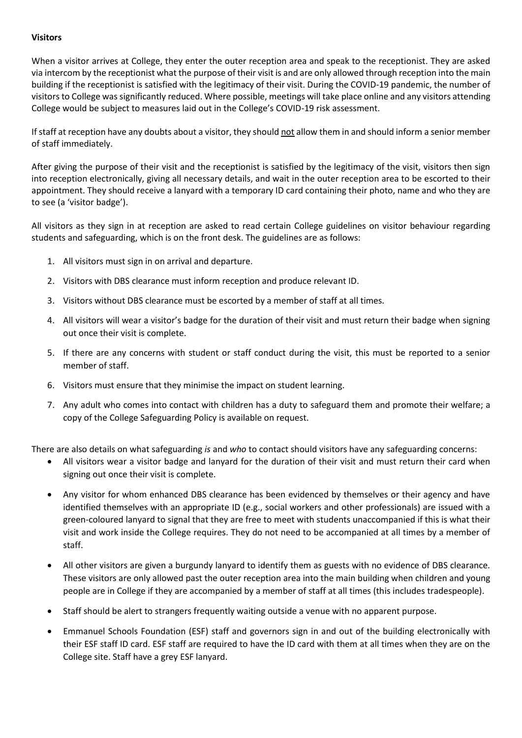## **Visitors**

When a visitor arrives at College, they enter the outer reception area and speak to the receptionist. They are asked via intercom by the receptionist what the purpose of their visit is and are only allowed through reception into the main building if the receptionist is satisfied with the legitimacy of their visit. During the COVID-19 pandemic, the number of visitors to College was significantly reduced. Where possible, meetings will take place online and any visitors attending College would be subject to measures laid out in the College's COVID-19 risk assessment.

If staff at reception have any doubts about a visitor, they should not allow them in and should inform a senior member of staff immediately.

After giving the purpose of their visit and the receptionist is satisfied by the legitimacy of the visit, visitors then sign into reception electronically, giving all necessary details, and wait in the outer reception area to be escorted to their appointment. They should receive a lanyard with a temporary ID card containing their photo, name and who they are to see (a 'visitor badge').

All visitors as they sign in at reception are asked to read certain College guidelines on visitor behaviour regarding students and safeguarding, which is on the front desk. The guidelines are as follows:

- 1. All visitors must sign in on arrival and departure.
- 2. Visitors with DBS clearance must inform reception and produce relevant ID.
- 3. Visitors without DBS clearance must be escorted by a member of staff at all times.
- 4. All visitors will wear a visitor's badge for the duration of their visit and must return their badge when signing out once their visit is complete.
- 5. If there are any concerns with student or staff conduct during the visit, this must be reported to a senior member of staff.
- 6. Visitors must ensure that they minimise the impact on student learning.
- 7. Any adult who comes into contact with children has a duty to safeguard them and promote their welfare; a copy of the College Safeguarding Policy is available on request.

There are also details on what safeguarding *is* and *who* to contact should visitors have any safeguarding concerns:

- All visitors wear a visitor badge and lanyard for the duration of their visit and must return their card when signing out once their visit is complete.
- Any visitor for whom enhanced DBS clearance has been evidenced by themselves or their agency and have identified themselves with an appropriate ID (e.g., social workers and other professionals) are issued with a green-coloured lanyard to signal that they are free to meet with students unaccompanied if this is what their visit and work inside the College requires. They do not need to be accompanied at all times by a member of staff.
- All other visitors are given a burgundy lanyard to identify them as guests with no evidence of DBS clearance. These visitors are only allowed past the outer reception area into the main building when children and young people are in College if they are accompanied by a member of staff at all times (this includes tradespeople).
- Staff should be alert to strangers frequently waiting outside a venue with no apparent purpose.
- Emmanuel Schools Foundation (ESF) staff and governors sign in and out of the building electronically with their ESF staff ID card. ESF staff are required to have the ID card with them at all times when they are on the College site. Staff have a grey ESF lanyard.